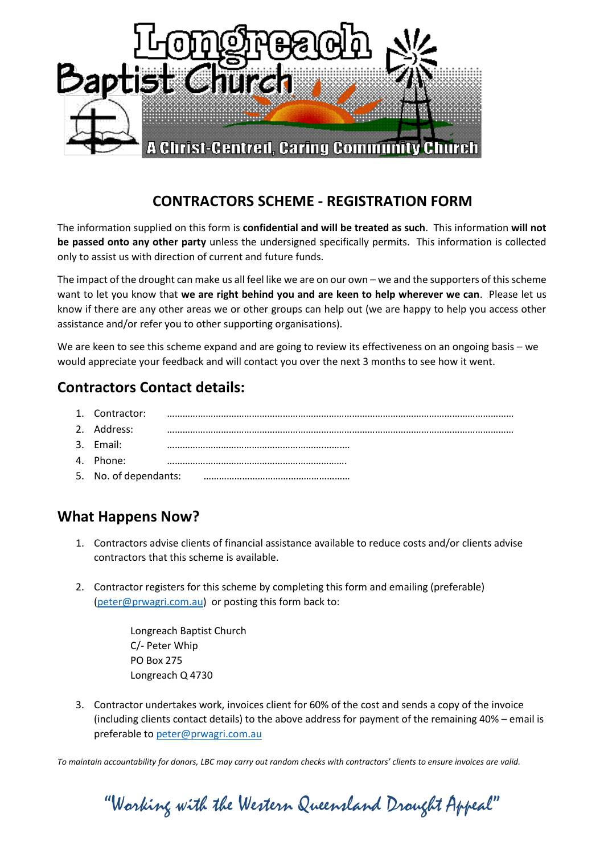

## **CONTRACTORS SCHEME - REGISTRATION FORM**

The information supplied on this form is **confidential and will be treated as such**. This information **will not be passed onto any other party** unless the undersigned specifically permits. This information is collected only to assist us with direction of current and future funds.

The impact of the drought can make us all feel like we are on our own – we and the supporters of this scheme want to let you know that **we are right behind you and are keen to help wherever we can**. Please let us know if there are any other areas we or other groups can help out (we are happy to help you access other assistance and/or refer you to other supporting organisations).

We are keen to see this scheme expand and are going to review its effectiveness on an ongoing basis – we would appreciate your feedback and will contact you over the next 3 months to see how it went.

# **Contractors Contact details:**

| 1. Contractor: |  |
|----------------|--|
| 2. Address:    |  |
| 3. Email:      |  |
| 4. Phone:      |  |

5. No. of dependants: …………………………………………………

## **What Happens Now?**

- 1. Contractors advise clients of financial assistance available to reduce costs and/or clients advise contractors that this scheme is available.
- 2. Contractor registers for this scheme by completing this form and emailing (preferable) [\(peter@prwagri.com.au\)](mailto:peter@prwagri.com.au) or posting this form back to:

Longreach Baptist Church C/- Peter Whip PO Box 275 Longreach Q 4730

3. Contractor undertakes work, invoices client for 60% of the cost and sends a copy of the invoice (including clients contact details) to the above address for payment of the remaining 40% – email is preferable to [peter@prwagri.com.au](mailto:peter@prwagri.com.au)

*To maintain accountability for donors, LBC may carry out random checks with contractors' clients to ensure invoices are valid.*

"Working with the Western Queensland Drought Appeal"